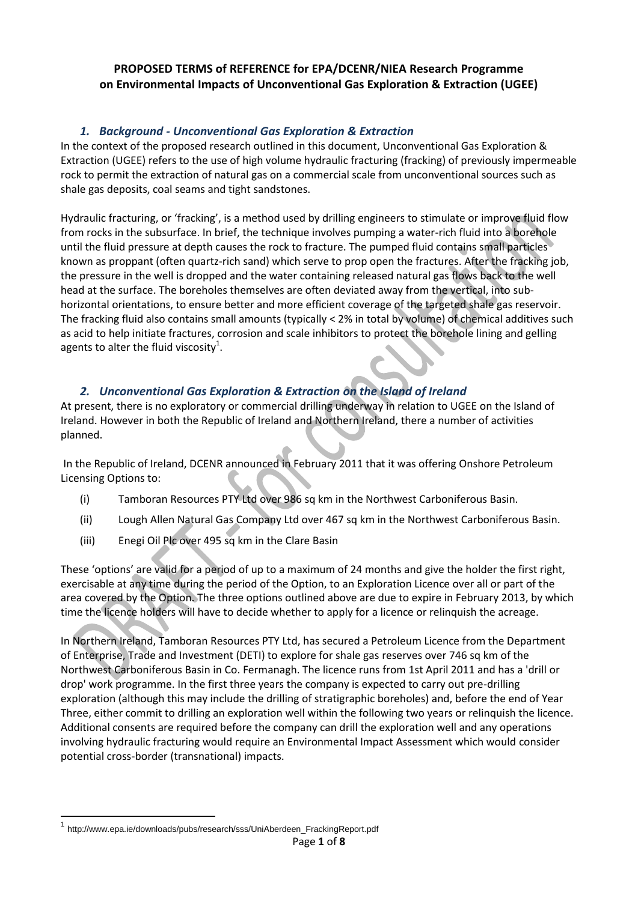#### **PROPOSED TERMS of REFERENCE for EPA/DCENR/NIEA Research Programme on Environmental Impacts of Unconventional Gas Exploration & Extraction (UGEE)**

## *1. Background - Unconventional Gas Exploration & Extraction*

In the context of the proposed research outlined in this document, Unconventional Gas Exploration & Extraction (UGEE) refers to the use of high volume hydraulic fracturing (fracking) of previously impermeable rock to permit the extraction of natural gas on a commercial scale from unconventional sources such as shale gas deposits, coal seams and tight sandstones.

Hydraulic fracturing, or 'fracking', is a method used by drilling engineers to stimulate or improve fluid flow from rocks in the subsurface. In brief, the technique involves pumping a water-rich fluid into a borehole until the fluid pressure at depth causes the rock to fracture. The pumped fluid contains small particles known as proppant (often quartz-rich sand) which serve to prop open the fractures. After the fracking job, the pressure in the well is dropped and the water containing released natural gas flows back to the well head at the surface. The boreholes themselves are often deviated away from the vertical, into subhorizontal orientations, to ensure better and more efficient coverage of the targeted shale gas reservoir. The fracking fluid also contains small amounts (typically < 2% in total by volume) of chemical additives such as acid to help initiate fractures, corrosion and scale inhibitors to protect the borehole lining and gelling agents to alter the fluid viscosity $^1$ .

## *2. Unconventional Gas Exploration & Extraction on the Island of Ireland*

At present, there is no exploratory or commercial drilling underway in relation to UGEE on the Island of Ireland. However in both the Republic of Ireland and Northern Ireland, there a number of activities planned.

In the Republic of Ireland, DCENR announced in February 2011 that it was offering Onshore Petroleum Licensing Options to:

- (i) Tamboran Resources PTY Ltd over 986 sq km in the Northwest Carboniferous Basin.
- (ii) Lough Allen Natural Gas Company Ltd over 467 sq km in the Northwest Carboniferous Basin.
- (iii) Enegi Oil Plc over 495 sq km in the Clare Basin

These 'options' are valid for a period of up to a maximum of 24 months and give the holder the first right, exercisable at any time during the period of the Option, to an Exploration Licence over all or part of the area covered by the Option. The three options outlined above are due to expire in February 2013, by which time the licence holders will have to decide whether to apply for a licence or relinquish the acreage.

In Northern Ireland, Tamboran Resources PTY Ltd, has secured a Petroleum Licence from the Department of Enterprise, Trade and Investment (DETI) to explore for shale gas reserves over 746 sq km of the Northwest Carboniferous Basin in Co. Fermanagh. The licence runs from 1st April 2011 and has a 'drill or drop' work programme. In the first three years the company is expected to carry out pre-drilling exploration (although this may include the drilling of stratigraphic boreholes) and, before the end of Year Three, either commit to drilling an exploration well within the following two years or relinquish the licence. Additional consents are required before the company can drill the exploration well and any operations involving hydraulic fracturing would require an Environmental Impact Assessment which would consider potential cross-border (transnational) impacts.

**.** 

<sup>1</sup> http://www.epa.ie/downloads/pubs/research/sss/UniAberdeen\_FrackingReport.pdf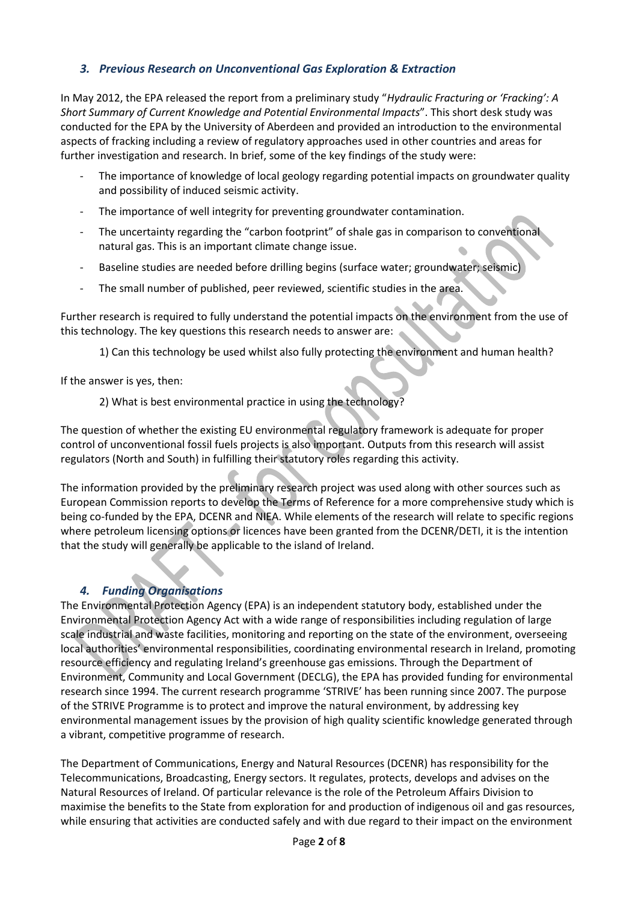## *3. Previous Research on Unconventional Gas Exploration & Extraction*

In May 2012, the EPA released the report from a preliminary study "*Hydraulic Fracturing or 'Fracking': A Short Summary of Current Knowledge and Potential Environmental Impacts*". This short desk study was conducted for the EPA by the University of Aberdeen and provided an introduction to the environmental aspects of fracking including a review of regulatory approaches used in other countries and areas for further investigation and research. In brief, some of the key findings of the study were:

- The importance of knowledge of local geology regarding potential impacts on groundwater quality and possibility of induced seismic activity.
- The importance of well integrity for preventing groundwater contamination.
- The uncertainty regarding the "carbon footprint" of shale gas in comparison to conventional natural gas. This is an important climate change issue.
- Baseline studies are needed before drilling begins (surface water; groundwater; seismic)
- The small number of published, peer reviewed, scientific studies in the area.

Further research is required to fully understand the potential impacts on the environment from the use of this technology. The key questions this research needs to answer are:

1) Can this technology be used whilst also fully protecting the environment and human health?

If the answer is yes, then:

2) What is best environmental practice in using the technology?

The question of whether the existing EU environmental regulatory framework is adequate for proper control of unconventional fossil fuels projects is also important. Outputs from this research will assist regulators (North and South) in fulfilling their statutory roles regarding this activity.

The information provided by the preliminary research project was used along with other sources such as European Commission reports to develop the Terms of Reference for a more comprehensive study which is being co-funded by the EPA, DCENR and NIEA. While elements of the research will relate to specific regions where petroleum licensing options or licences have been granted from the DCENR/DETI, it is the intention that the study will generally be applicable to the island of Ireland.

## *4. Funding Organisations*

The Environmental Protection Agency (EPA) is an independent statutory body, established under the Environmental Protection Agency Act with a wide range of responsibilities including regulation of large scale industrial and waste facilities, monitoring and reporting on the state of the environment, overseeing local authorities' environmental responsibilities, coordinating environmental research in Ireland, promoting resource efficiency and regulating Ireland's greenhouse gas emissions. Through the Department of Environment, Community and Local Government (DECLG), the EPA has provided funding for environmental research since 1994. The current research programme 'STRIVE' has been running since 2007. The purpose of the STRIVE Programme is to protect and improve the natural environment, by addressing key environmental management issues by the provision of high quality scientific knowledge generated through a vibrant, competitive programme of research.

The Department of Communications, Energy and Natural Resources (DCENR) has responsibility for the Telecommunications, Broadcasting, Energy sectors. It regulates, protects, develops and advises on the Natural Resources of Ireland. Of particular relevance is the role of the Petroleum Affairs Division to maximise the benefits to the State from exploration for and production of indigenous oil and gas resources, while ensuring that activities are conducted safely and with due regard to their impact on the environment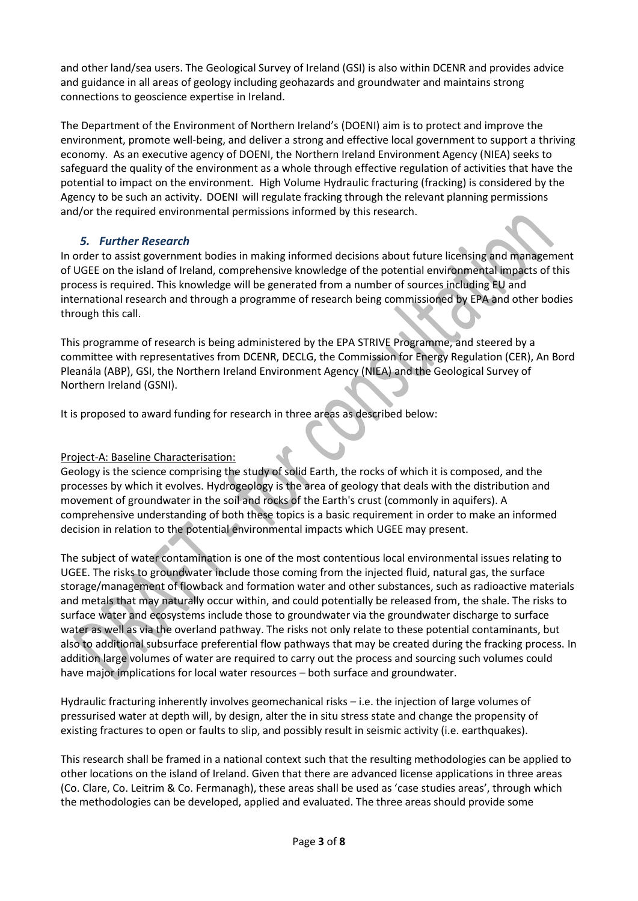and other land/sea users. The Geological Survey of Ireland (GSI) is also within DCENR and provides advice and guidance in all areas of geology including geohazards and groundwater and maintains strong connections to geoscience expertise in Ireland.

The Department of the Environment of Northern Ireland's (DOENI) aim is to protect and improve the environment, promote well-being, and deliver a strong and effective local government to support a thriving economy. As an executive agency of DOENI, the Northern Ireland Environment Agency (NIEA) seeks to safeguard the quality of the environment as a whole through effective regulation of activities that have the potential to impact on the environment. High Volume Hydraulic fracturing (fracking) is considered by the Agency to be such an activity. DOENI will regulate fracking through the relevant planning permissions and/or the required environmental permissions informed by this research.

## *5. Further Research*

In order to assist government bodies in making informed decisions about future licensing and management of UGEE on the island of Ireland, comprehensive knowledge of the potential environmental impacts of this process is required. This knowledge will be generated from a number of sources including EU and international research and through a programme of research being commissioned by EPA and other bodies through this call.

This programme of research is being administered by the EPA STRIVE Programme, and steered by a committee with representatives from DCENR, DECLG, the Commission for Energy Regulation (CER), An Bord Pleanála (ABP), GSI, the Northern Ireland Environment Agency (NIEA) and the Geological Survey of Northern Ireland (GSNI).

It is proposed to award funding for research in three areas as described below:

### Project-A: Baseline Characterisation:

Geology is the science comprising the study of solid Earth, the rocks of which it is composed, and the processes by which it evolves. Hydrogeology is the area of geology that deals with the distribution and movement of groundwater in the soil and rocks of the Earth's crust (commonly in aquifers). A comprehensive understanding of both these topics is a basic requirement in order to make an informed decision in relation to the potential environmental impacts which UGEE may present.

The subject of water contamination is one of the most contentious local environmental issues relating to UGEE. The risks to groundwater include those coming from the injected fluid, natural gas, the surface storage/management of flowback and formation water and other substances, such as radioactive materials and metals that may naturally occur within, and could potentially be released from, the shale. The risks to surface water and ecosystems include those to groundwater via the groundwater discharge to surface water as well as via the overland pathway. The risks not only relate to these potential contaminants, but also to additional subsurface preferential flow pathways that may be created during the fracking process. In addition large volumes of water are required to carry out the process and sourcing such volumes could have major implications for local water resources – both surface and groundwater.

Hydraulic fracturing inherently involves geomechanical risks – i.e. the injection of large volumes of pressurised water at depth will, by design, alter the in situ stress state and change the propensity of existing fractures to open or faults to slip, and possibly result in seismic activity (i.e. earthquakes).

This research shall be framed in a national context such that the resulting methodologies can be applied to other locations on the island of Ireland. Given that there are advanced license applications in three areas (Co. Clare, Co. Leitrim & Co. Fermanagh), these areas shall be used as 'case studies areas', through which the methodologies can be developed, applied and evaluated. The three areas should provide some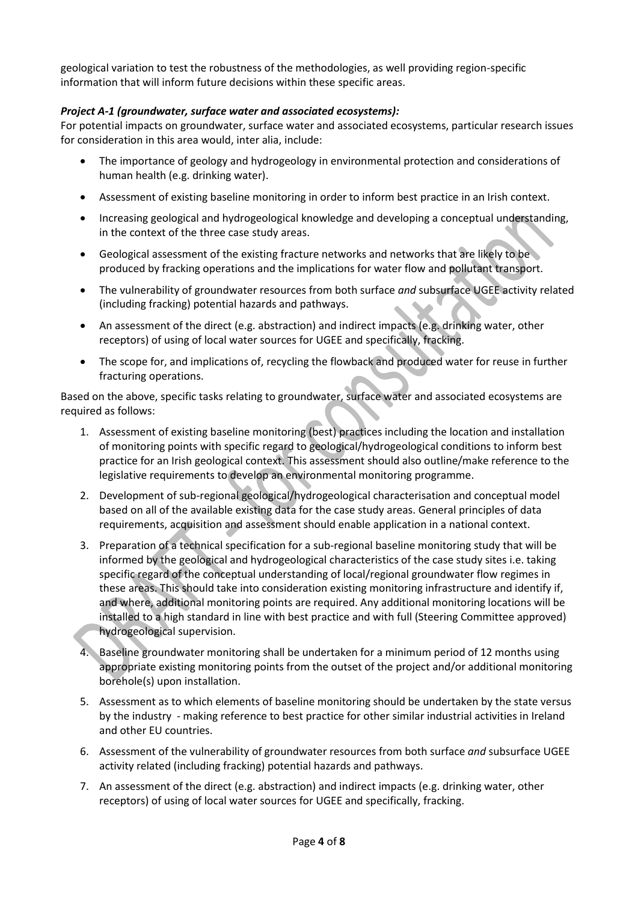geological variation to test the robustness of the methodologies, as well providing region-specific information that will inform future decisions within these specific areas.

#### *Project A-1 (groundwater, surface water and associated ecosystems):*

For potential impacts on groundwater, surface water and associated ecosystems, particular research issues for consideration in this area would, inter alia, include:

- The importance of geology and hydrogeology in environmental protection and considerations of human health (e.g. drinking water).
- Assessment of existing baseline monitoring in order to inform best practice in an Irish context.
- Increasing geological and hydrogeological knowledge and developing a conceptual understanding, in the context of the three case study areas.
- Geological assessment of the existing fracture networks and networks that are likely to be produced by fracking operations and the implications for water flow and pollutant transport.
- The vulnerability of groundwater resources from both surface *and* subsurface UGEE activity related (including fracking) potential hazards and pathways.
- An assessment of the direct (e.g. abstraction) and indirect impacts (e.g. drinking water, other receptors) of using of local water sources for UGEE and specifically, fracking.
- The scope for, and implications of, recycling the flowback and produced water for reuse in further fracturing operations.

Based on the above, specific tasks relating to groundwater, surface water and associated ecosystems are required as follows:

- 1. Assessment of existing baseline monitoring (best) practices including the location and installation of monitoring points with specific regard to geological/hydrogeological conditions to inform best practice for an Irish geological context. This assessment should also outline/make reference to the legislative requirements to develop an environmental monitoring programme.
- 2. Development of sub-regional geological/hydrogeological characterisation and conceptual model based on all of the available existing data for the case study areas. General principles of data requirements, acquisition and assessment should enable application in a national context.
- 3. Preparation of a technical specification for a sub-regional baseline monitoring study that will be informed by the geological and hydrogeological characteristics of the case study sites i.e. taking specific regard of the conceptual understanding of local/regional groundwater flow regimes in these areas. This should take into consideration existing monitoring infrastructure and identify if, and where, additional monitoring points are required. Any additional monitoring locations will be installed to a high standard in line with best practice and with full (Steering Committee approved) hydrogeological supervision.
- 4. Baseline groundwater monitoring shall be undertaken for a minimum period of 12 months using appropriate existing monitoring points from the outset of the project and/or additional monitoring borehole(s) upon installation.
- 5. Assessment as to which elements of baseline monitoring should be undertaken by the state versus by the industry - making reference to best practice for other similar industrial activities in Ireland and other EU countries.
- 6. Assessment of the vulnerability of groundwater resources from both surface *and* subsurface UGEE activity related (including fracking) potential hazards and pathways.
- 7. An assessment of the direct (e.g. abstraction) and indirect impacts (e.g. drinking water, other receptors) of using of local water sources for UGEE and specifically, fracking.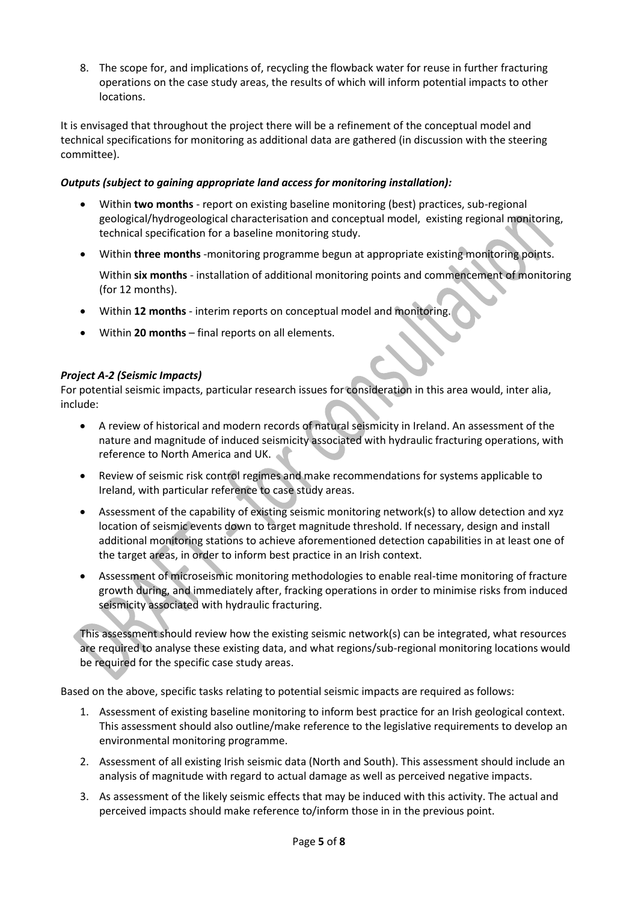8. The scope for, and implications of, recycling the flowback water for reuse in further fracturing operations on the case study areas, the results of which will inform potential impacts to other locations.

It is envisaged that throughout the project there will be a refinement of the conceptual model and technical specifications for monitoring as additional data are gathered (in discussion with the steering committee).

### *Outputs (subject to gaining appropriate land access for monitoring installation):*

- Within **two months** report on existing baseline monitoring (best) practices, sub-regional geological/hydrogeological characterisation and conceptual model, existing regional monitoring, technical specification for a baseline monitoring study.
- Within **three months** -monitoring programme begun at appropriate existing monitoring points.

Within **six months** - installation of additional monitoring points and commencement of monitoring (for 12 months).

- Within **12 months** interim reports on conceptual model and monitoring.
- Within **20 months** final reports on all elements.

#### *Project A-2 (Seismic Impacts)*

For potential seismic impacts, particular research issues for consideration in this area would, inter alia, include:

- A review of historical and modern records of natural seismicity in Ireland. An assessment of the nature and magnitude of induced seismicity associated with hydraulic fracturing operations, with reference to North America and UK.
- Review of seismic risk control regimes and make recommendations for systems applicable to Ireland, with particular reference to case study areas.
- Assessment of the capability of existing seismic monitoring network(s) to allow detection and xyz location of seismic events down to target magnitude threshold. If necessary, design and install additional monitoring stations to achieve aforementioned detection capabilities in at least one of the target areas, in order to inform best practice in an Irish context.
- Assessment of microseismic monitoring methodologies to enable real-time monitoring of fracture growth during, and immediately after, fracking operations in order to minimise risks from induced seismicity associated with hydraulic fracturing.

This assessment should review how the existing seismic network(s) can be integrated, what resources are required to analyse these existing data, and what regions/sub-regional monitoring locations would be required for the specific case study areas.

Based on the above, specific tasks relating to potential seismic impacts are required as follows:

- 1. Assessment of existing baseline monitoring to inform best practice for an Irish geological context. This assessment should also outline/make reference to the legislative requirements to develop an environmental monitoring programme.
- 2. Assessment of all existing Irish seismic data (North and South). This assessment should include an analysis of magnitude with regard to actual damage as well as perceived negative impacts.
- 3. As assessment of the likely seismic effects that may be induced with this activity. The actual and perceived impacts should make reference to/inform those in in the previous point.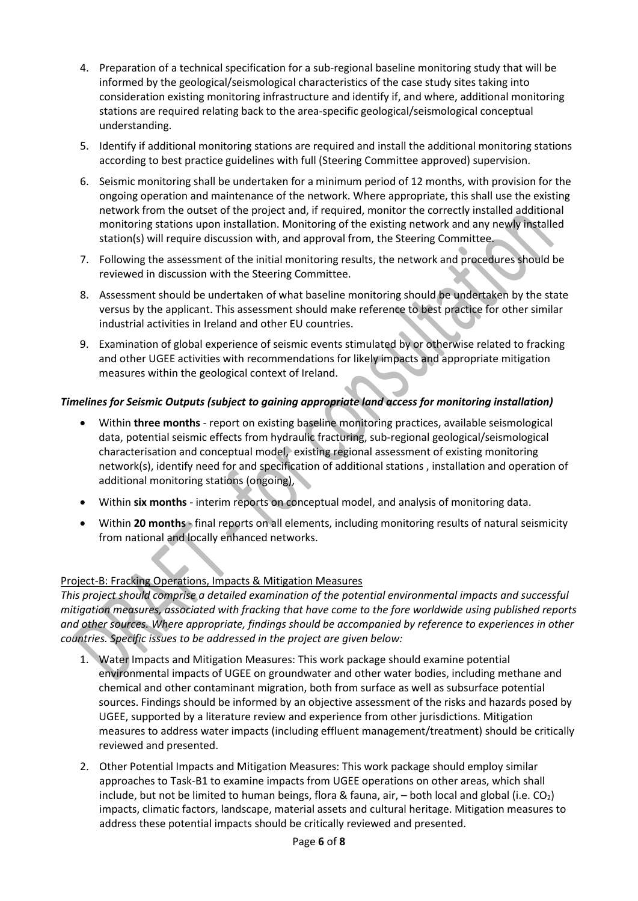- 4. Preparation of a technical specification for a sub-regional baseline monitoring study that will be informed by the geological/seismological characteristics of the case study sites taking into consideration existing monitoring infrastructure and identify if, and where, additional monitoring stations are required relating back to the area-specific geological/seismological conceptual understanding.
- 5. Identify if additional monitoring stations are required and install the additional monitoring stations according to best practice guidelines with full (Steering Committee approved) supervision.
- 6. Seismic monitoring shall be undertaken for a minimum period of 12 months, with provision for the ongoing operation and maintenance of the network. Where appropriate, this shall use the existing network from the outset of the project and, if required, monitor the correctly installed additional monitoring stations upon installation. Monitoring of the existing network and any newly installed station(s) will require discussion with, and approval from, the Steering Committee.
- 7. Following the assessment of the initial monitoring results, the network and procedures should be reviewed in discussion with the Steering Committee.
- 8. Assessment should be undertaken of what baseline monitoring should be undertaken by the state versus by the applicant. This assessment should make reference to best practice for other similar industrial activities in Ireland and other EU countries.
- 9. Examination of global experience of seismic events stimulated by or otherwise related to fracking and other UGEE activities with recommendations for likely impacts and appropriate mitigation measures within the geological context of Ireland.

## *Timelines for Seismic Outputs (subject to gaining appropriate land access for monitoring installation)*

- Within **three months** report on existing baseline monitoring practices, available seismological data, potential seismic effects from hydraulic fracturing, sub-regional geological/seismological characterisation and conceptual model, existing regional assessment of existing monitoring network(s), identify need for and specification of additional stations , installation and operation of additional monitoring stations (ongoing),
- Within **six months** interim reports on conceptual model, and analysis of monitoring data.
- Within **20 months** final reports on all elements, including monitoring results of natural seismicity from national and locally enhanced networks.

# Project-B: Fracking Operations, Impacts & Mitigation Measures

*This project should comprise a detailed examination of the potential environmental impacts and successful mitigation measures, associated with fracking that have come to the fore worldwide using published reports and other sources. Where appropriate, findings should be accompanied by reference to experiences in other countries. Specific issues to be addressed in the project are given below:*

- 1. Water Impacts and Mitigation Measures: This work package should examine potential environmental impacts of UGEE on groundwater and other water bodies, including methane and chemical and other contaminant migration, both from surface as well as subsurface potential sources. Findings should be informed by an objective assessment of the risks and hazards posed by UGEE, supported by a literature review and experience from other jurisdictions. Mitigation measures to address water impacts (including effluent management/treatment) should be critically reviewed and presented.
- 2. Other Potential Impacts and Mitigation Measures: This work package should employ similar approaches to Task-B1 to examine impacts from UGEE operations on other areas, which shall include, but not be limited to human beings, flora & fauna, air,  $-$  both local and global (i.e. CO<sub>2</sub>) impacts, climatic factors, landscape, material assets and cultural heritage. Mitigation measures to address these potential impacts should be critically reviewed and presented.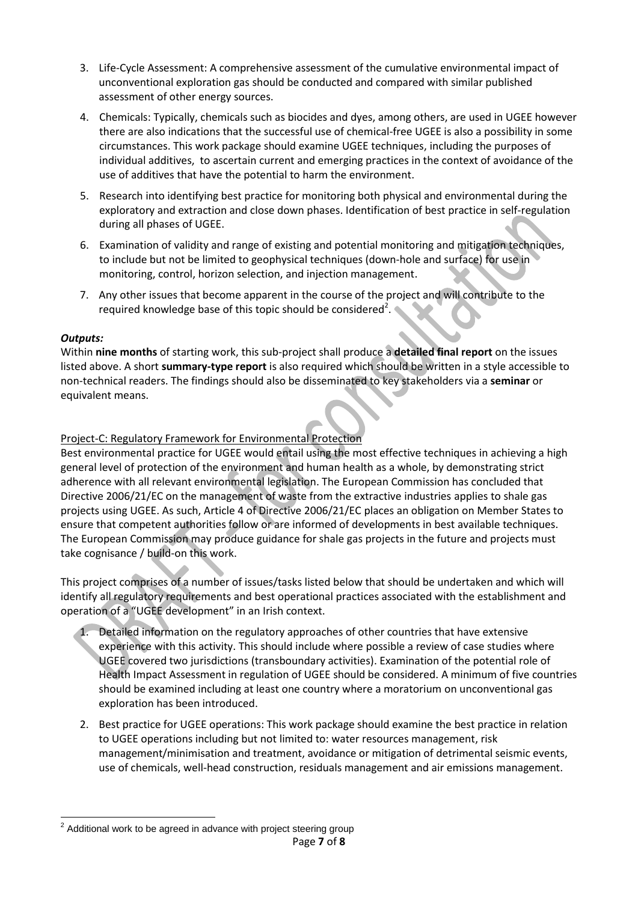- 3. Life-Cycle Assessment: A comprehensive assessment of the cumulative environmental impact of unconventional exploration gas should be conducted and compared with similar published assessment of other energy sources.
- 4. Chemicals: Typically, chemicals such as biocides and dyes, among others, are used in UGEE however there are also indications that the successful use of chemical-free UGEE is also a possibility in some circumstances. This work package should examine UGEE techniques, including the purposes of individual additives, to ascertain current and emerging practices in the context of avoidance of the use of additives that have the potential to harm the environment.
- 5. Research into identifying best practice for monitoring both physical and environmental during the exploratory and extraction and close down phases. Identification of best practice in self-regulation during all phases of UGEE.
- 6. Examination of validity and range of existing and potential monitoring and mitigation techniques, to include but not be limited to geophysical techniques (down-hole and surface) for use in monitoring, control, horizon selection, and injection management.
- 7. Any other issues that become apparent in the course of the project and will contribute to the required knowledge base of this topic should be considered<sup>2</sup>.

#### *Outputs:*

Within **nine months** of starting work, this sub-project shall produce a **detailed final report** on the issues listed above. A short **summary-type report** is also required which should be written in a style accessible to non-technical readers. The findings should also be disseminated to key stakeholders via a **seminar** or equivalent means.

#### Project-C: Regulatory Framework for Environmental Protection

Best environmental practice for UGEE would entail using the most effective techniques in achieving a high general level of protection of the environment and human health as a whole, by demonstrating strict adherence with all relevant environmental legislation. The European Commission has concluded that Directive 2006/21/EC on the management of waste from the extractive industries applies to shale gas projects using UGEE. As such, Article 4 of Directive 2006/21/EC places an obligation on Member States to ensure that competent authorities follow or are informed of developments in best available techniques. The European Commission may produce guidance for shale gas projects in the future and projects must take cognisance / build-on this work.

This project comprises of a number of issues/tasks listed below that should be undertaken and which will identify all regulatory requirements and best operational practices associated with the establishment and operation of a "UGEE development" in an Irish context.

- Detailed information on the regulatory approaches of other countries that have extensive experience with this activity. This should include where possible a review of case studies where UGEE covered two jurisdictions (transboundary activities). Examination of the potential role of Health Impact Assessment in regulation of UGEE should be considered. A minimum of five countries should be examined including at least one country where a moratorium on unconventional gas exploration has been introduced.
- 2. Best practice for UGEE operations: This work package should examine the best practice in relation to UGEE operations including but not limited to: water resources management, risk management/minimisation and treatment, avoidance or mitigation of detrimental seismic events, use of chemicals, well-head construction, residuals management and air emissions management.

 2 Additional work to be agreed in advance with project steering group